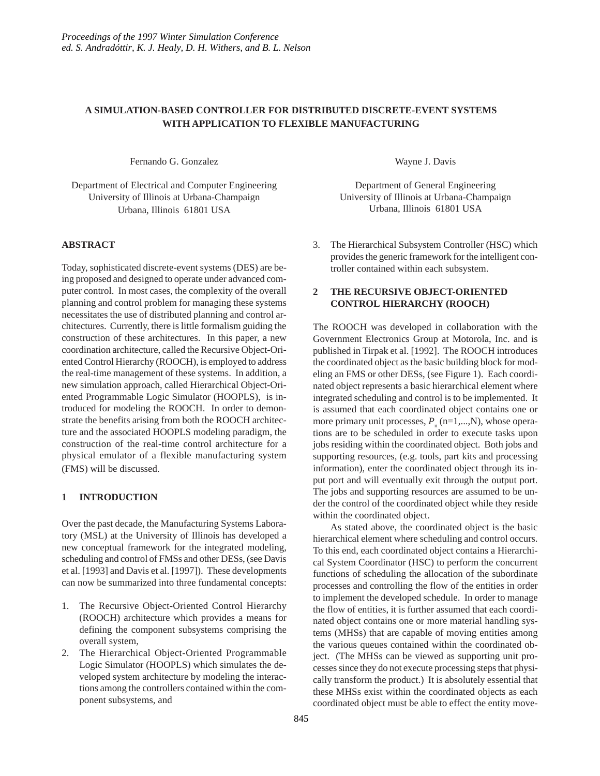# **A SIMULATION-BASED CONTROLLER FOR DISTRIBUTED DISCRETE-EVENT SYSTEMS WITH APPLICATION TO FLEXIBLE MANUFACTURING**

Fernando G. Gonzalez

Department of Electrical and Computer Engineering University of Illinois at Urbana-Champaign Urbana, Illinois 61801 USA

#### **ABSTRACT**

Today, sophisticated discrete-event systems (DES) are being proposed and designed to operate under advanced computer control. In most cases, the complexity of the overall planning and control problem for managing these systems necessitates the use of distributed planning and control architectures. Currently, there is little formalism guiding the construction of these architectures. In this paper, a new coordination architecture, called the Recursive Object-Oriented Control Hierarchy (ROOCH), is employed to address the real-time management of these systems. In addition, a new simulation approach, called Hierarchical Object-Oriented Programmable Logic Simulator (HOOPLS), is introduced for modeling the ROOCH. In order to demonstrate the benefits arising from both the ROOCH architecture and the associated HOOPLS modeling paradigm, the construction of the real-time control architecture for a physical emulator of a flexible manufacturing system (FMS) will be discussed.

### **1 INTRODUCTION**

Over the past decade, the Manufacturing Systems Laboratory (MSL) at the University of Illinois has developed a new conceptual framework for the integrated modeling, scheduling and control of FMSs and other DESs, (see Davis et al. [1993] and Davis et al. [1997]). These developments can now be summarized into three fundamental concepts:

- 1. The Recursive Object-Oriented Control Hierarchy (ROOCH) architecture which provides a means for defining the component subsystems comprising the overall system,
- 2. The Hierarchical Object-Oriented Programmable Logic Simulator (HOOPLS) which simulates the developed system architecture by modeling the interactions among the controllers contained within the component subsystems, and

Wayne J. Davis

Department of General Engineering University of Illinois at Urbana-Champaign Urbana, Illinois 61801 USA

3. The Hierarchical Subsystem Controller (HSC) which provides the generic framework for the intelligent controller contained within each subsystem.

### **2 THE RECURSIVE OBJECT-ORIENTED CONTROL HIERARCHY (ROOCH)**

The ROOCH was developed in collaboration with the Government Electronics Group at Motorola, Inc. and is published in Tirpak et al. [1992]. The ROOCH introduces the coordinated object as the basic building block for modeling an FMS or other DESs, (see Figure 1). Each coordinated object represents a basic hierarchical element where integrated scheduling and control is to be implemented. It is assumed that each coordinated object contains one or more primary unit processes,  $P_n$  (n=1,...,N), whose operations are to be scheduled in order to execute tasks upon jobs residing within the coordinated object. Both jobs and supporting resources, (e.g. tools, part kits and processing information), enter the coordinated object through its input port and will eventually exit through the output port. The jobs and supporting resources are assumed to be under the control of the coordinated object while they reside within the coordinated object.

As stated above, the coordinated object is the basic hierarchical element where scheduling and control occurs. To this end, each coordinated object contains a Hierarchical System Coordinator (HSC) to perform the concurrent functions of scheduling the allocation of the subordinate processes and controlling the flow of the entities in order to implement the developed schedule. In order to manage the flow of entities, it is further assumed that each coordinated object contains one or more material handling systems (MHSs) that are capable of moving entities among the various queues contained within the coordinated object. (The MHSs can be viewed as supporting unit processes since they do not execute processing steps that physically transform the product.) It is absolutely essential that these MHSs exist within the coordinated objects as each coordinated object must be able to effect the entity move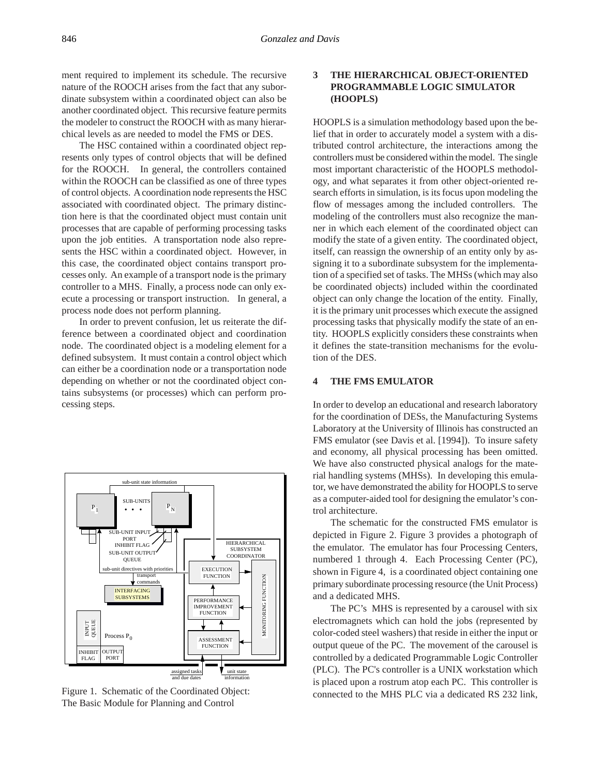ment required to implement its schedule. The recursive nature of the ROOCH arises from the fact that any subordinate subsystem within a coordinated object can also be another coordinated object. This recursive feature permits the modeler to construct the ROOCH with as many hierarchical levels as are needed to model the FMS or DES.

The HSC contained within a coordinated object represents only types of control objects that will be defined for the ROOCH. In general, the controllers contained within the ROOCH can be classified as one of three types of control objects. A coordination node represents the HSC associated with coordinated object. The primary distinction here is that the coordinated object must contain unit processes that are capable of performing processing tasks upon the job entities. A transportation node also represents the HSC within a coordinated object. However, in this case, the coordinated object contains transport processes only. An example of a transport node is the primary controller to a MHS. Finally, a process node can only execute a processing or transport instruction. In general, a process node does not perform planning.

In order to prevent confusion, let us reiterate the difference between a coordinated object and coordination node. The coordinated object is a modeling element for a defined subsystem. It must contain a control object which can either be a coordination node or a transportation node depending on whether or not the coordinated object contains subsystems (or processes) which can perform processing steps.



Figure 1. Schematic of the Coordinated Object: The Basic Module for Planning and Control

# **3 THE HIERARCHICAL OBJECT-ORIENTED PROGRAMMABLE LOGIC SIMULATOR (HOOPLS)**

HOOPLS is a simulation methodology based upon the belief that in order to accurately model a system with a distributed control architecture, the interactions among the controllers must be considered within the model. The single most important characteristic of the HOOPLS methodology, and what separates it from other object-oriented research efforts in simulation, is its focus upon modeling the flow of messages among the included controllers. The modeling of the controllers must also recognize the manner in which each element of the coordinated object can modify the state of a given entity. The coordinated object, itself, can reassign the ownership of an entity only by assigning it to a subordinate subsystem for the implementation of a specified set of tasks. The MHSs (which may also be coordinated objects) included within the coordinated object can only change the location of the entity. Finally, it is the primary unit processes which execute the assigned processing tasks that physically modify the state of an entity. HOOPLS explicitly considers these constraints when it defines the state-transition mechanisms for the evolution of the DES.

#### **4 THE FMS EMULATOR**

In order to develop an educational and research laboratory for the coordination of DESs, the Manufacturing Systems Laboratory at the University of Illinois has constructed an FMS emulator (see Davis et al. [1994]). To insure safety and economy, all physical processing has been omitted. We have also constructed physical analogs for the material handling systems (MHSs). In developing this emulator, we have demonstrated the ability for HOOPLS to serve as a computer-aided tool for designing the emulator's control architecture.

The schematic for the constructed FMS emulator is depicted in Figure 2. Figure 3 provides a photograph of the emulator. The emulator has four Processing Centers, numbered 1 through 4. Each Processing Center (PC), shown in Figure 4, is a coordinated object containing one primary subordinate processing resource (the Unit Process) and a dedicated MHS.

The PC's MHS is represented by a carousel with six electromagnets which can hold the jobs (represented by color-coded steel washers) that reside in either the input or output queue of the PC. The movement of the carousel is controlled by a dedicated Programmable Logic Controller (PLC). The PC's controller is a UNIX workstation which is placed upon a rostrum atop each PC. This controller is connected to the MHS PLC via a dedicated RS 232 link,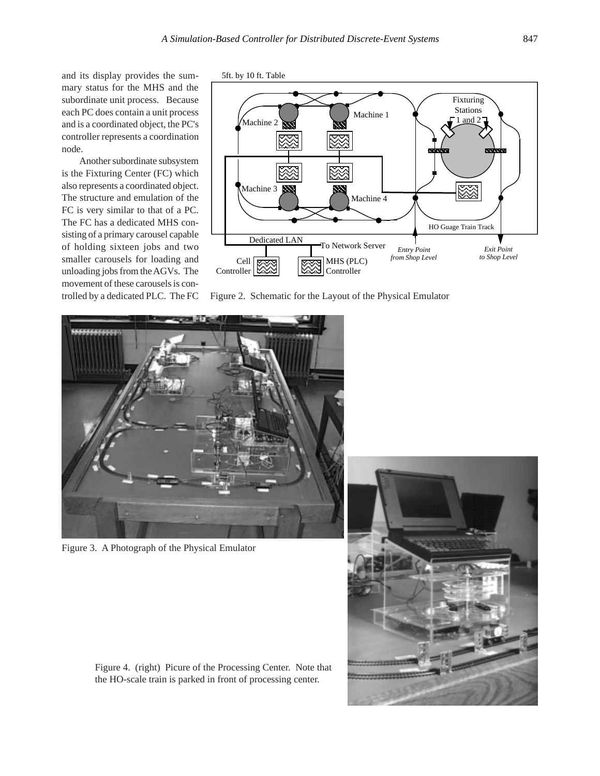and its display provides the summary status for the MHS and the subordinate unit process. Because each PC does contain a unit process and is a coordinated object, the PC's controller represents a coordination node.

Another subordinate subsystem is the Fixturing Center (FC) which also represents a coordinated object. The structure and emulation of the FC is very similar to that of a PC. The FC has a dedicated MHS consisting of a primary carousel capable of holding sixteen jobs and two smaller carousels for loading and unloading jobs from the AGVs. The movement of these carousels is controlled by a dedicated PLC. The FC







Figure 3. A Photograph of the Physical Emulator



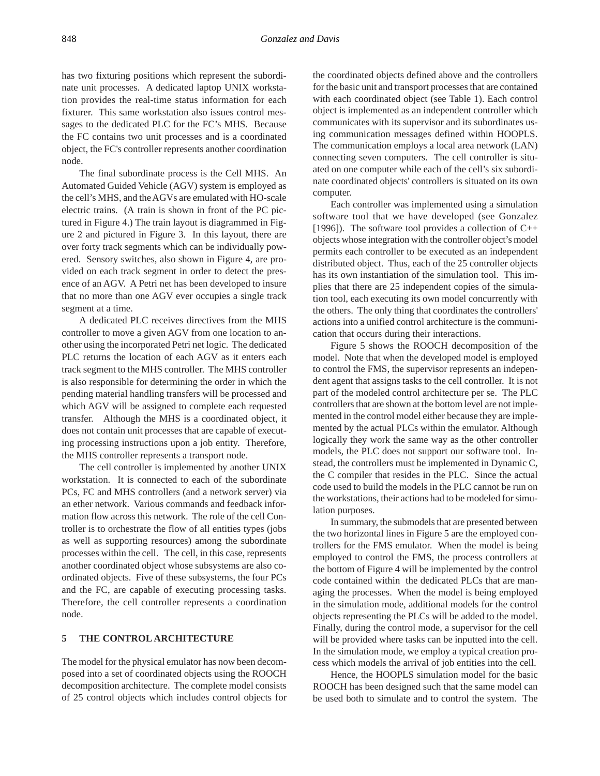has two fixturing positions which represent the subordinate unit processes. A dedicated laptop UNIX workstation provides the real-time status information for each fixturer. This same workstation also issues control messages to the dedicated PLC for the FC's MHS. Because the FC contains two unit processes and is a coordinated object, the FC's controller represents another coordination node.

The final subordinate process is the Cell MHS. An Automated Guided Vehicle (AGV) system is employed as the cell's MHS, and the AGVs are emulated with HO-scale electric trains. (A train is shown in front of the PC pictured in Figure 4.) The train layout is diagrammed in Figure 2 and pictured in Figure 3. In this layout, there are over forty track segments which can be individually powered. Sensory switches, also shown in Figure 4, are provided on each track segment in order to detect the presence of an AGV. A Petri net has been developed to insure that no more than one AGV ever occupies a single track segment at a time.

A dedicated PLC receives directives from the MHS controller to move a given AGV from one location to another using the incorporated Petri net logic. The dedicated PLC returns the location of each AGV as it enters each track segment to the MHS controller. The MHS controller is also responsible for determining the order in which the pending material handling transfers will be processed and which AGV will be assigned to complete each requested transfer. Although the MHS is a coordinated object, it does not contain unit processes that are capable of executing processing instructions upon a job entity. Therefore, the MHS controller represents a transport node.

The cell controller is implemented by another UNIX workstation. It is connected to each of the subordinate PCs, FC and MHS controllers (and a network server) via an ether network. Various commands and feedback information flow across this network. The role of the cell Controller is to orchestrate the flow of all entities types (jobs as well as supporting resources) among the subordinate processes within the cell. The cell, in this case, represents another coordinated object whose subsystems are also coordinated objects. Five of these subsystems, the four PCs and the FC, are capable of executing processing tasks. Therefore, the cell controller represents a coordination node.

#### **5 THE CONTROL ARCHITECTURE**

The model for the physical emulator has now been decomposed into a set of coordinated objects using the ROOCH decomposition architecture. The complete model consists of 25 control objects which includes control objects for the coordinated objects defined above and the controllers for the basic unit and transport processes that are contained with each coordinated object (see Table 1). Each control object is implemented as an independent controller which communicates with its supervisor and its subordinates using communication messages defined within HOOPLS. The communication employs a local area network (LAN) connecting seven computers. The cell controller is situated on one computer while each of the cell's six subordinate coordinated objects' controllers is situated on its own computer.

Each controller was implemented using a simulation software tool that we have developed (see Gonzalez [1996]). The software tool provides a collection of C++ objects whose integration with the controller object's model permits each controller to be executed as an independent distributed object. Thus, each of the 25 controller objects has its own instantiation of the simulation tool. This implies that there are 25 independent copies of the simulation tool, each executing its own model concurrently with the others. The only thing that coordinates the controllers' actions into a unified control architecture is the communication that occurs during their interactions.

Figure 5 shows the ROOCH decomposition of the model. Note that when the developed model is employed to control the FMS, the supervisor represents an independent agent that assigns tasks to the cell controller. It is not part of the modeled control architecture per se. The PLC controllers that are shown at the bottom level are not implemented in the control model either because they are implemented by the actual PLCs within the emulator. Although logically they work the same way as the other controller models, the PLC does not support our software tool. Instead, the controllers must be implemented in Dynamic C, the C compiler that resides in the PLC. Since the actual code used to build the models in the PLC cannot be run on the workstations, their actions had to be modeled for simulation purposes.

In summary, the submodels that are presented between the two horizontal lines in Figure 5 are the employed controllers for the FMS emulator. When the model is being employed to control the FMS, the process controllers at the bottom of Figure 4 will be implemented by the control code contained within the dedicated PLCs that are managing the processes. When the model is being employed in the simulation mode, additional models for the control objects representing the PLCs will be added to the model. Finally, during the control mode, a supervisor for the cell will be provided where tasks can be inputted into the cell. In the simulation mode, we employ a typical creation process which models the arrival of job entities into the cell.

Hence, the HOOPLS simulation model for the basic ROOCH has been designed such that the same model can be used both to simulate and to control the system. The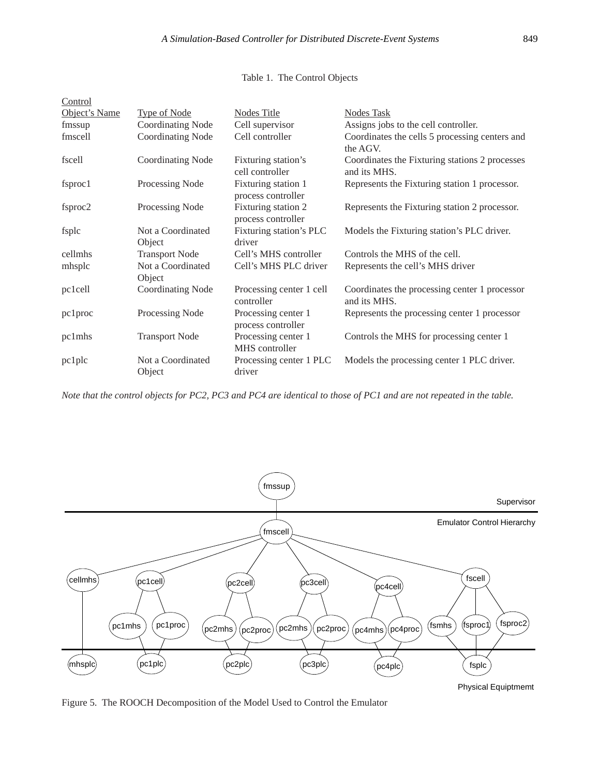Table 1. The Control Objects

| Control       |                             |                                           |                                                                |
|---------------|-----------------------------|-------------------------------------------|----------------------------------------------------------------|
| Object's Name | <b>Type of Node</b>         | <b>Nodes Title</b>                        | <b>Nodes Task</b>                                              |
| fmssup        | <b>Coordinating Node</b>    | Cell supervisor                           | Assigns jobs to the cell controller.                           |
| fmscell       | <b>Coordinating Node</b>    | Cell controller                           | Coordinates the cells 5 processing centers and<br>the AGV.     |
| fscell        | <b>Coordinating Node</b>    | Fixturing station's<br>cell controller    | Coordinates the Fixturing stations 2 processes<br>and its MHS. |
| fsproc1       | Processing Node             | Fixturing station 1<br>process controller | Represents the Fixturing station 1 processor.                  |
| fsproc2       | Processing Node             | Fixturing station 2<br>process controller | Represents the Fixturing station 2 processor.                  |
| fsplc         | Not a Coordinated<br>Object | Fixturing station's PLC<br>driver         | Models the Fixturing station's PLC driver.                     |
| cellmhs       | <b>Transport Node</b>       | Cell's MHS controller                     | Controls the MHS of the cell.                                  |
| mhsplc        | Not a Coordinated<br>Object | Cell's MHS PLC driver                     | Represents the cell's MHS driver                               |
| pc1cell       | <b>Coordinating Node</b>    | Processing center 1 cell<br>controller    | Coordinates the processing center 1 processor<br>and its MHS.  |
| pc1proc       | Processing Node             | Processing center 1<br>process controller | Represents the processing center 1 processor                   |
| pc1mhs        | <b>Transport Node</b>       | Processing center 1<br>MHS controller     | Controls the MHS for processing center 1                       |
| pc1plc        | Not a Coordinated<br>Object | Processing center 1 PLC<br>driver         | Models the processing center 1 PLC driver.                     |

*Note that the control objects for PC2, PC3 and PC4 are identical to those of PC1 and are not repeated in the table.*



Figure 5. The ROOCH Decomposition of the Model Used to Control the Emulator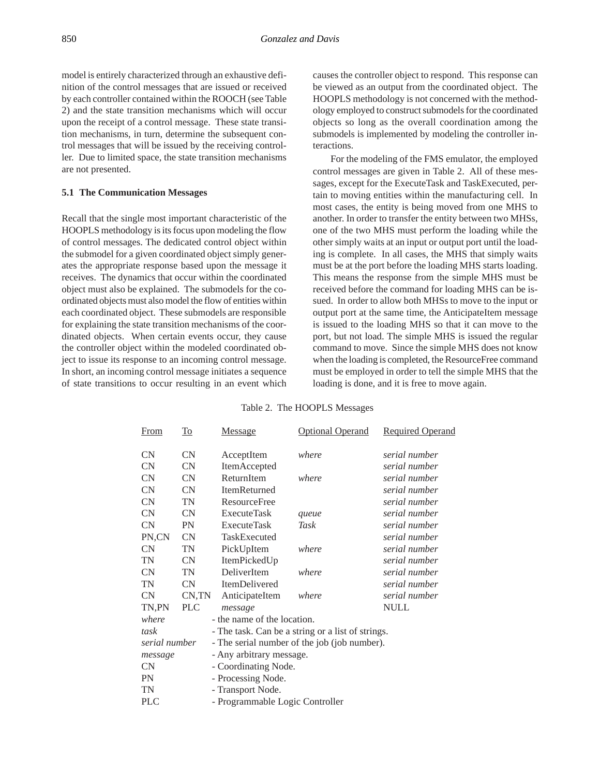model is entirely characterized through an exhaustive definition of the control messages that are issued or received by each controller contained within the ROOCH (see Table 2) and the state transition mechanisms which will occur upon the receipt of a control message. These state transition mechanisms, in turn, determine the subsequent control messages that will be issued by the receiving controller. Due to limited space, the state transition mechanisms are not presented.

#### **5.1 The Communication Messages**

Recall that the single most important characteristic of the HOOPLS methodology is its focus upon modeling the flow of control messages. The dedicated control object within the submodel for a given coordinated object simply generates the appropriate response based upon the message it receives. The dynamics that occur within the coordinated object must also be explained. The submodels for the coordinated objects must also model the flow of entities within each coordinated object. These submodels are responsible for explaining the state transition mechanisms of the coordinated objects. When certain events occur, they cause the controller object within the modeled coordinated object to issue its response to an incoming control message. In short, an incoming control message initiates a sequence of state transitions to occur resulting in an event which

causes the controller object to respond. This response can be viewed as an output from the coordinated object. The HOOPLS methodology is not concerned with the methodology employed to construct submodels for the coordinated objects so long as the overall coordination among the submodels is implemented by modeling the controller interactions.

For the modeling of the FMS emulator, the employed control messages are given in Table 2. All of these messages, except for the ExecuteTask and TaskExecuted, pertain to moving entities within the manufacturing cell. In most cases, the entity is being moved from one MHS to another. In order to transfer the entity between two MHSs, one of the two MHS must perform the loading while the other simply waits at an input or output port until the loading is complete. In all cases, the MHS that simply waits must be at the port before the loading MHS starts loading. This means the response from the simple MHS must be received before the command for loading MHS can be issued. In order to allow both MHSs to move to the input or output port at the same time, the AnticipateItem message is issued to the loading MHS so that it can move to the port, but not load. The simple MHS is issued the regular command to move. Since the simple MHS does not know when the loading is completed, the ResourceFree command must be employed in order to tell the simple MHS that the loading is done, and it is free to move again.

#### Table 2. The HOOPLS Messages

| From                                                          | $\underline{\operatorname{To}}$ | <b>Message</b>       | <b>Optional Operand</b> | <b>Required Operand</b> |  |  |
|---------------------------------------------------------------|---------------------------------|----------------------|-------------------------|-------------------------|--|--|
| CN                                                            | CN                              | AcceptItem           | where                   | serial number           |  |  |
| CN                                                            | CN                              | ItemAccepted         |                         | serial number           |  |  |
| <b>CN</b>                                                     | CN                              | ReturnItem           | where                   | serial number           |  |  |
| CN                                                            | CN                              | ItemReturned         |                         | serial number           |  |  |
| <b>CN</b>                                                     | TN                              | <b>ResourceFree</b>  |                         | serial number           |  |  |
| CN                                                            | CN                              | <b>ExecuteTask</b>   | queue                   | serial number           |  |  |
| <b>CN</b>                                                     | <b>PN</b>                       | <b>ExecuteTask</b>   | Task                    | serial number           |  |  |
| PN,CN                                                         | CN                              | TaskExecuted         |                         | serial number           |  |  |
| CN                                                            | TN                              | PickUpItem           | where                   | serial number           |  |  |
| <b>TN</b>                                                     | CN                              | ItemPickedUp         |                         | serial number           |  |  |
| CN                                                            | TN                              | DeliverItem          | where                   | serial number           |  |  |
| <b>TN</b>                                                     | CN                              | <b>ItemDelivered</b> |                         | serial number           |  |  |
| CN                                                            | CN,TN                           | AnticipateItem       | where                   | serial number           |  |  |
| TN,PN                                                         | <b>PLC</b>                      | message              |                         | <b>NULL</b>             |  |  |
| where<br>- the name of the location.                          |                                 |                      |                         |                         |  |  |
| task<br>- The task. Can be a string or a list of strings.     |                                 |                      |                         |                         |  |  |
| - The serial number of the job (job number).<br>serial number |                                 |                      |                         |                         |  |  |
| - Any arbitrary message.<br>message                           |                                 |                      |                         |                         |  |  |
| CN<br>- Coordinating Node.                                    |                                 |                      |                         |                         |  |  |
| - Processing Node.<br>PN                                      |                                 |                      |                         |                         |  |  |
| TN<br>- Transport Node.                                       |                                 |                      |                         |                         |  |  |
| <b>PLC</b><br>- Programmable Logic Controller                 |                                 |                      |                         |                         |  |  |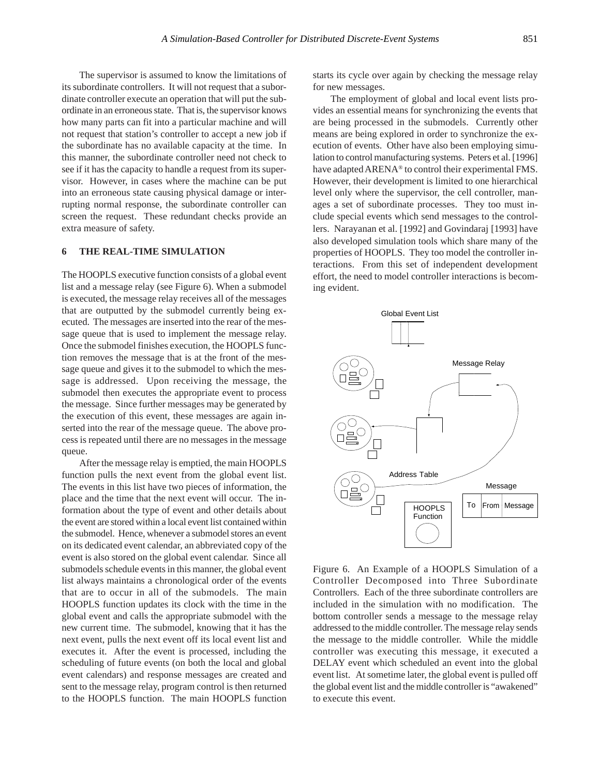The supervisor is assumed to know the limitations of its subordinate controllers. It will not request that a subordinate controller execute an operation that will put the subordinate in an erroneous state. That is, the supervisor knows how many parts can fit into a particular machine and will not request that station's controller to accept a new job if the subordinate has no available capacity at the time. In this manner, the subordinate controller need not check to see if it has the capacity to handle a request from its supervisor. However, in cases where the machine can be put into an erroneous state causing physical damage or interrupting normal response, the subordinate controller can screen the request. These redundant checks provide an extra measure of safety.

#### **6 THE REAL-TIME SIMULATION**

The HOOPLS executive function consists of a global event list and a message relay (see Figure 6). When a submodel is executed, the message relay receives all of the messages that are outputted by the submodel currently being executed. The messages are inserted into the rear of the message queue that is used to implement the message relay. Once the submodel finishes execution, the HOOPLS function removes the message that is at the front of the message queue and gives it to the submodel to which the message is addressed. Upon receiving the message, the submodel then executes the appropriate event to process the message. Since further messages may be generated by the execution of this event, these messages are again inserted into the rear of the message queue. The above process is repeated until there are no messages in the message queue.

After the message relay is emptied, the main HOOPLS function pulls the next event from the global event list. The events in this list have two pieces of information, the place and the time that the next event will occur. The information about the type of event and other details about the event are stored within a local event list contained within the submodel. Hence, whenever a submodel stores an event on its dedicated event calendar, an abbreviated copy of the event is also stored on the global event calendar. Since all submodels schedule events in this manner, the global event list always maintains a chronological order of the events that are to occur in all of the submodels. The main HOOPLS function updates its clock with the time in the global event and calls the appropriate submodel with the new current time. The submodel, knowing that it has the next event, pulls the next event off its local event list and executes it. After the event is processed, including the scheduling of future events (on both the local and global event calendars) and response messages are created and sent to the message relay, program control is then returned to the HOOPLS function. The main HOOPLS function

starts its cycle over again by checking the message relay for new messages.

The employment of global and local event lists provides an essential means for synchronizing the events that are being processed in the submodels. Currently other means are being explored in order to synchronize the execution of events. Other have also been employing simulation to control manufacturing systems. Peters et al. [1996] have adapted ARENA® to control their experimental FMS. However, their development is limited to one hierarchical level only where the supervisor, the cell controller, manages a set of subordinate processes. They too must include special events which send messages to the controllers. Narayanan et al. [1992] and Govindaraj [1993] have also developed simulation tools which share many of the properties of HOOPLS. They too model the controller interactions. From this set of independent development effort, the need to model controller interactions is becoming evident.



Figure 6. An Example of a HOOPLS Simulation of a Controller Decomposed into Three Subordinate Controllers. Each of the three subordinate controllers are included in the simulation with no modification. The bottom controller sends a message to the message relay addressed to the middle controller. The message relay sends the message to the middle controller. While the middle controller was executing this message, it executed a DELAY event which scheduled an event into the global event list. At sometime later, the global event is pulled off the global event list and the middle controller is "awakened" to execute this event.